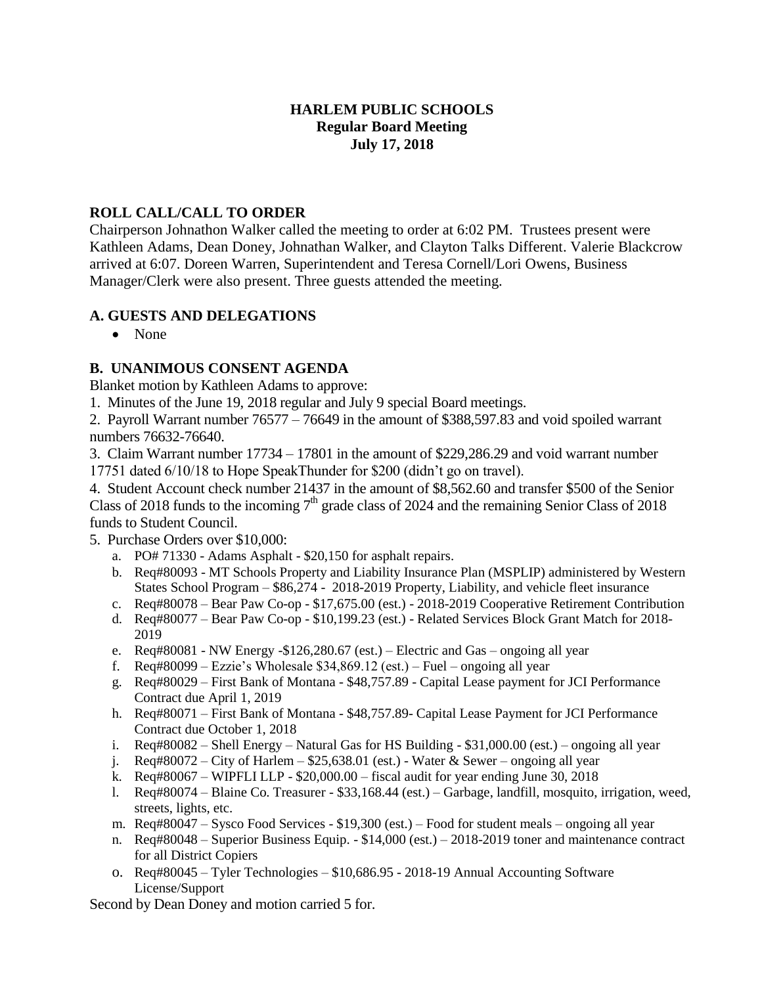# **HARLEM PUBLIC SCHOOLS Regular Board Meeting July 17, 2018**

# **ROLL CALL/CALL TO ORDER**

Chairperson Johnathon Walker called the meeting to order at 6:02 PM. Trustees present were Kathleen Adams, Dean Doney, Johnathan Walker, and Clayton Talks Different. Valerie Blackcrow arrived at 6:07. Doreen Warren, Superintendent and Teresa Cornell/Lori Owens, Business Manager/Clerk were also present. Three guests attended the meeting.

# **A. GUESTS AND DELEGATIONS**

• None

# **B. UNANIMOUS CONSENT AGENDA**

Blanket motion by Kathleen Adams to approve:

1. Minutes of the June 19, 2018 regular and July 9 special Board meetings.

2. Payroll Warrant number 76577 – 76649 in the amount of \$388,597.83 and void spoiled warrant numbers 76632-76640.

3. Claim Warrant number 17734 – 17801 in the amount of \$229,286.29 and void warrant number 17751 dated 6/10/18 to Hope SpeakThunder for \$200 (didn't go on travel).

4. Student Account check number 21437 in the amount of \$8,562.60 and transfer \$500 of the Senior Class of 2018 funds to the incoming  $7<sup>th</sup>$  grade class of 2024 and the remaining Senior Class of 2018 funds to Student Council.

5. Purchase Orders over \$10,000:

- a. PO# 71330 Adams Asphalt \$20,150 for asphalt repairs.
- b. Req#80093 MT Schools Property and Liability Insurance Plan (MSPLIP) administered by Western States School Program – \$86,274 - 2018-2019 Property, Liability, and vehicle fleet insurance
- c. Req#80078 Bear Paw Co-op \$17,675.00 (est.) 2018-2019 Cooperative Retirement Contribution
- d. Req#80077 Bear Paw Co-op \$10,199.23 (est.) Related Services Block Grant Match for 2018- 2019
- e. Req#80081 NW Energy -\$126,280.67 (est.) Electric and Gas ongoing all year
- f. Req#80099 Ezzie's Wholesale  $$34,869.12$  (est.) Fuel ongoing all year
- g. Req#80029 First Bank of Montana \$48,757.89 Capital Lease payment for JCI Performance Contract due April 1, 2019
- h. Req#80071 First Bank of Montana \$48,757.89- Capital Lease Payment for JCI Performance Contract due October 1, 2018
- i. Req#80082 Shell Energy Natural Gas for HS Building \$31,000.00 (est.) ongoing all year
- j. Req#80072 City of Harlem  $$25,638.01$  (est.) Water & Sewer ongoing all year
- k. Req#80067 WIPFLI LLP \$20,000.00 fiscal audit for year ending June 30, 2018
- l. Req#80074 Blaine Co. Treasurer \$33,168.44 (est.) Garbage, landfill, mosquito, irrigation, weed, streets, lights, etc.
- m. Req#80047 Sysco Food Services \$19,300 (est.) Food for student meals ongoing all year
- n. Req#80048 Superior Business Equip. \$14,000 (est.) 2018-2019 toner and maintenance contract for all District Copiers
- o. Req#80045 Tyler Technologies \$10,686.95 2018-19 Annual Accounting Software License/Support

Second by Dean Doney and motion carried 5 for.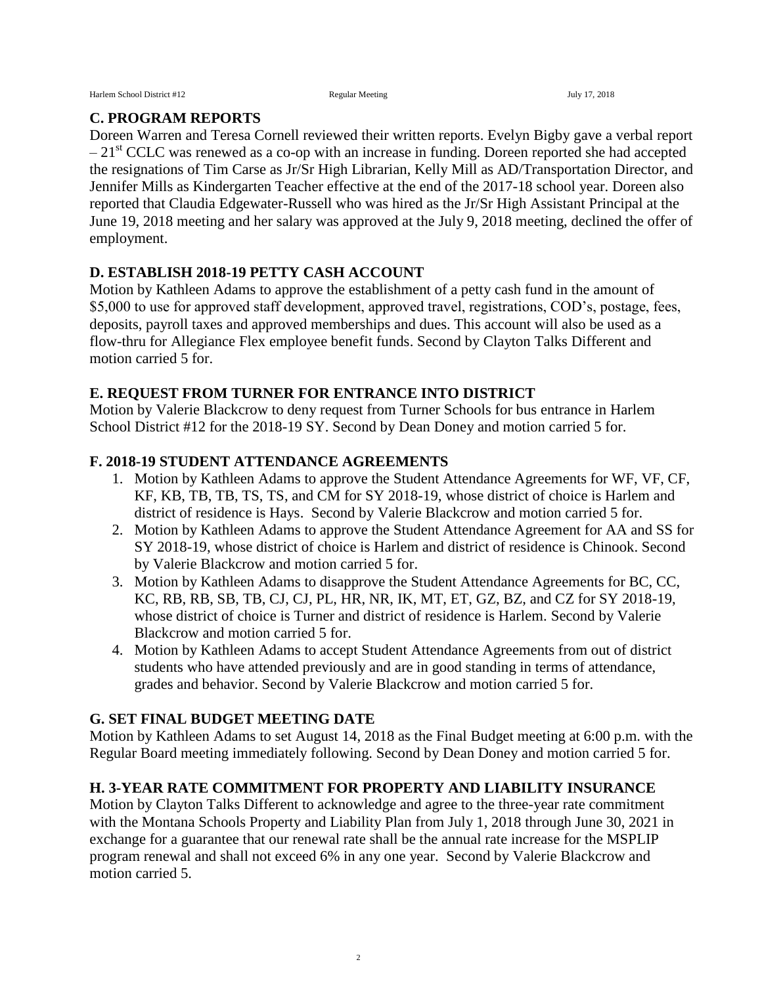#### **C. PROGRAM REPORTS**

Doreen Warren and Teresa Cornell reviewed their written reports. Evelyn Bigby gave a verbal report  $-21<sup>st</sup> CCLC$  was renewed as a co-op with an increase in funding. Doreen reported she had accepted the resignations of Tim Carse as Jr/Sr High Librarian, Kelly Mill as AD/Transportation Director, and Jennifer Mills as Kindergarten Teacher effective at the end of the 2017-18 school year. Doreen also reported that Claudia Edgewater-Russell who was hired as the Jr/Sr High Assistant Principal at the June 19, 2018 meeting and her salary was approved at the July 9, 2018 meeting, declined the offer of employment.

#### **D. ESTABLISH 2018-19 PETTY CASH ACCOUNT**

Motion by Kathleen Adams to approve the establishment of a petty cash fund in the amount of \$5,000 to use for approved staff development, approved travel, registrations, COD's, postage, fees, deposits, payroll taxes and approved memberships and dues. This account will also be used as a flow-thru for Allegiance Flex employee benefit funds. Second by Clayton Talks Different and motion carried 5 for.

#### **E. REQUEST FROM TURNER FOR ENTRANCE INTO DISTRICT**

Motion by Valerie Blackcrow to deny request from Turner Schools for bus entrance in Harlem School District #12 for the 2018-19 SY. Second by Dean Doney and motion carried 5 for.

#### **F. 2018-19 STUDENT ATTENDANCE AGREEMENTS**

- 1. Motion by Kathleen Adams to approve the Student Attendance Agreements for WF, VF, CF, KF, KB, TB, TB, TS, TS, and CM for SY 2018-19, whose district of choice is Harlem and district of residence is Hays. Second by Valerie Blackcrow and motion carried 5 for.
- 2. Motion by Kathleen Adams to approve the Student Attendance Agreement for AA and SS for SY 2018-19, whose district of choice is Harlem and district of residence is Chinook. Second by Valerie Blackcrow and motion carried 5 for.
- 3. Motion by Kathleen Adams to disapprove the Student Attendance Agreements for BC, CC, KC, RB, RB, SB, TB, CJ, CJ, PL, HR, NR, IK, MT, ET, GZ, BZ, and CZ for SY 2018-19, whose district of choice is Turner and district of residence is Harlem. Second by Valerie Blackcrow and motion carried 5 for.
- 4. Motion by Kathleen Adams to accept Student Attendance Agreements from out of district students who have attended previously and are in good standing in terms of attendance, grades and behavior. Second by Valerie Blackcrow and motion carried 5 for.

# **G. SET FINAL BUDGET MEETING DATE**

Motion by Kathleen Adams to set August 14, 2018 as the Final Budget meeting at 6:00 p.m. with the Regular Board meeting immediately following. Second by Dean Doney and motion carried 5 for.

# **H. 3-YEAR RATE COMMITMENT FOR PROPERTY AND LIABILITY INSURANCE**

Motion by Clayton Talks Different to acknowledge and agree to the three-year rate commitment with the Montana Schools Property and Liability Plan from July 1, 2018 through June 30, 2021 in exchange for a guarantee that our renewal rate shall be the annual rate increase for the MSPLIP program renewal and shall not exceed 6% in any one year. Second by Valerie Blackcrow and motion carried 5.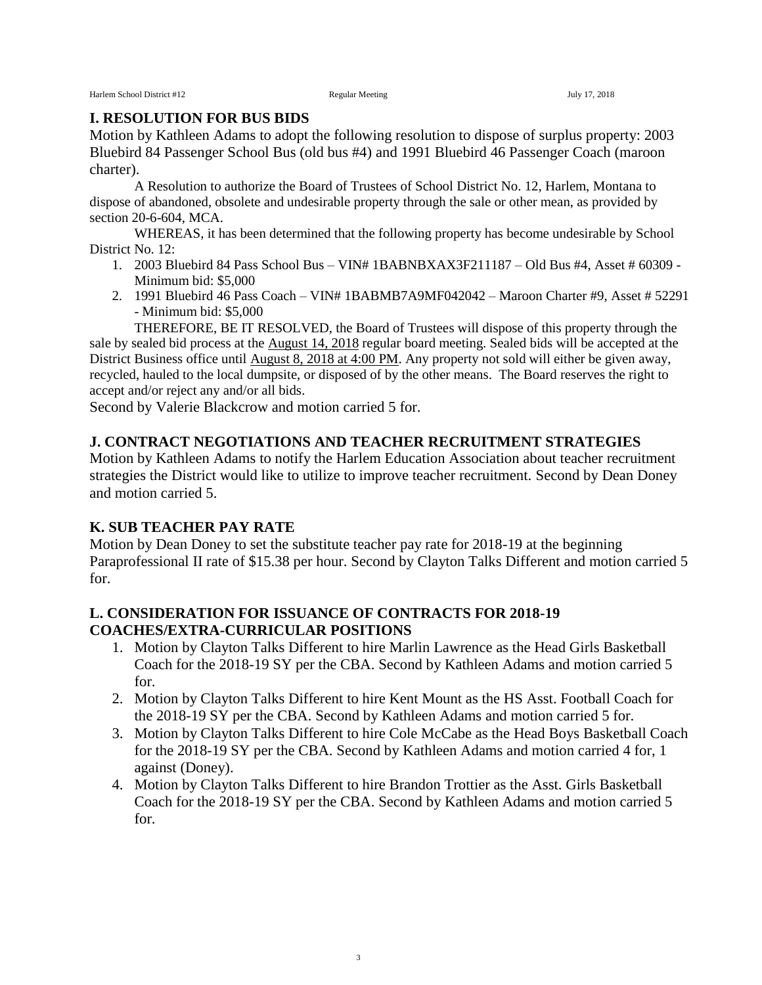#### **I. RESOLUTION FOR BUS BIDS**

Motion by Kathleen Adams to adopt the following resolution to dispose of surplus property: 2003 Bluebird 84 Passenger School Bus (old bus #4) and 1991 Bluebird 46 Passenger Coach (maroon charter).

A Resolution to authorize the Board of Trustees of School District No. 12, Harlem, Montana to dispose of abandoned, obsolete and undesirable property through the sale or other mean, as provided by section 20-6-604, MCA.

WHEREAS, it has been determined that the following property has become undesirable by School District No. 12:

- 1. 2003 Bluebird 84 Pass School Bus VIN# 1BABNBXAX3F211187 Old Bus #4, Asset # 60309 Minimum bid: \$5,000
- 2. 1991 Bluebird 46 Pass Coach VIN# 1BABMB7A9MF042042 Maroon Charter #9, Asset # 52291 - Minimum bid: \$5,000

THEREFORE, BE IT RESOLVED, the Board of Trustees will dispose of this property through the sale by sealed bid process at the August 14, 2018 regular board meeting. Sealed bids will be accepted at the District Business office until August 8, 2018 at 4:00 PM. Any property not sold will either be given away, recycled, hauled to the local dumpsite, or disposed of by the other means. The Board reserves the right to accept and/or reject any and/or all bids.

Second by Valerie Blackcrow and motion carried 5 for.

#### **J. CONTRACT NEGOTIATIONS AND TEACHER RECRUITMENT STRATEGIES**

Motion by Kathleen Adams to notify the Harlem Education Association about teacher recruitment strategies the District would like to utilize to improve teacher recruitment. Second by Dean Doney and motion carried 5.

#### **K. SUB TEACHER PAY RATE**

Motion by Dean Doney to set the substitute teacher pay rate for 2018-19 at the beginning Paraprofessional II rate of \$15.38 per hour. Second by Clayton Talks Different and motion carried 5 for.

# **L. CONSIDERATION FOR ISSUANCE OF CONTRACTS FOR 2018-19 COACHES/EXTRA-CURRICULAR POSITIONS**

- 1. Motion by Clayton Talks Different to hire Marlin Lawrence as the Head Girls Basketball Coach for the 2018-19 SY per the CBA. Second by Kathleen Adams and motion carried 5 for.
- 2. Motion by Clayton Talks Different to hire Kent Mount as the HS Asst. Football Coach for the 2018-19 SY per the CBA. Second by Kathleen Adams and motion carried 5 for.
- 3. Motion by Clayton Talks Different to hire Cole McCabe as the Head Boys Basketball Coach for the 2018-19 SY per the CBA. Second by Kathleen Adams and motion carried 4 for, 1 against (Doney).
- 4. Motion by Clayton Talks Different to hire Brandon Trottier as the Asst. Girls Basketball Coach for the 2018-19 SY per the CBA. Second by Kathleen Adams and motion carried 5 for.